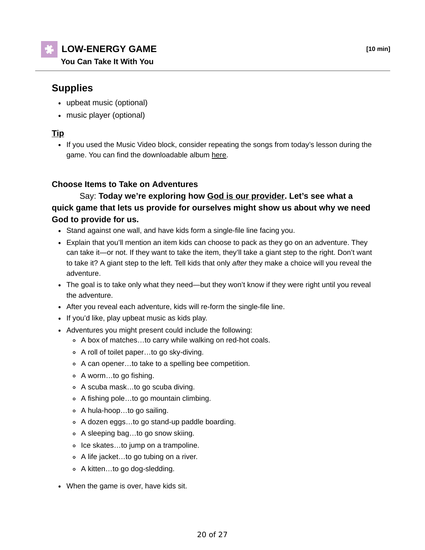# **LOW-ENERGY GAME [10 min]**

**You Can Take It With You**

## **Supplies**

- upbeat music (optional)
- music player (optional)

#### **Tip**

• If you used the Music Video block, consider repeating the songs from today's lesson during the game. You can find the downloadable album here.

#### **Choose Items to Take on Adventures**

### Say: **Today we're exploring how God is our provider. Let's see what a quick game that lets us provide for ourselves might show us about why we need God to provide for us.**

- Stand against one wall, and have kids form a single-file line facing you.
- Explain that you'll mention an item kids can choose to pack as they go on an adventure. They can take it—or not. If they want to take the item, they'll take a giant step to the right. Don't want to take it? A giant step to the left. Tell kids that only *after* they make a choice will you reveal the adventure.
- The goal is to take only what they need—but they won't know if they were right until you reveal the adventure.
- After you reveal each adventure, kids will re-form the single-file line.
- If you'd like, play upbeat music as kids play.
- Adventures you might present could include the following:
	- A box of matches…to carry while walking on red-hot coals.
	- A roll of toilet paper…to go sky-diving.
	- A can opener…to take to a spelling bee competition.
	- A worm…to go fishing.
	- A scuba mask…to go scuba diving.
	- A fishing pole…to go mountain climbing.
	- A hula-hoop…to go sailing.
	- A dozen eggs…to go stand-up paddle boarding.
	- A sleeping bag…to go snow skiing.
	- Ice skates…to jump on a trampoline.
	- A life jacket…to go tubing on a river.
	- A kitten…to go dog-sledding.
- When the game is over, have kids sit.